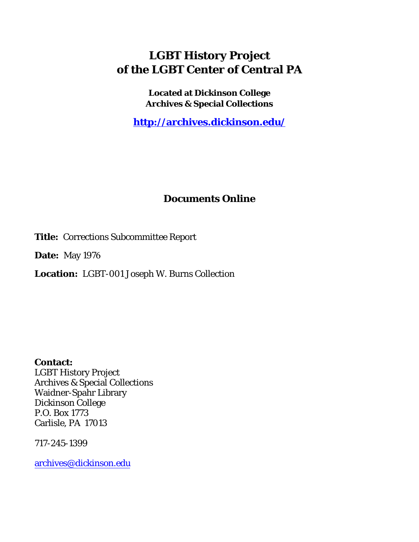## **LGBT History Project of the LGBT Center of Central PA**

**Located at Dickinson College Archives & Special Collections**

**<http://archives.dickinson.edu/>**

## **Documents Online**

**Title:** Corrections Subcommittee Report

**Date:** May 1976

**Location:** LGBT-001 Joseph W. Burns Collection

**Contact:**  LGBT History Project Archives & Special Collections Waidner-Spahr Library Dickinson College P.O. Box 1773 Carlisle, PA 17013

717-245-1399

[archives@dickinson.edu](mailto:archives@dickinson.edu)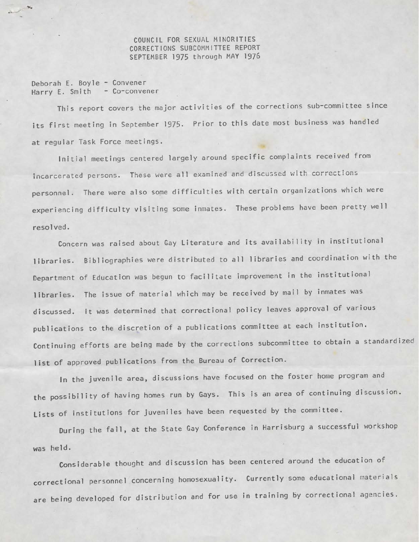COUNCIL FOR SEXUAL MINORITIES CORRECTIONS SUBCOMMITTEE REPORT SEPTEMBER 1975 through MAY 197&

Deborah E. Boyle - Convener Harry E. Smith - Co-convener

This report covers the major activities of the corrections sub-committee since its first meeting in September 1975. Prior to this date most business was handled at regular Task Force meetings.

Initial meetings centered largely around specific complaints received from incarcerated persons. These were all examined and discussed with corrections personnel. There were also some difficulties with certain organizations which were experiencing difficulty visiting some inmates. These problems have been pretty well resolved.

Concern was raised about Gay Literature and its availability in institutional libraries. Bibliographies were distributed to all libraries and coordination with the Department of Education was begun to facilitate improvement in the institutional libraries. The issue of material which may be received by mail by inmates was discussed. It was determined that correctional policy leaves approval of various publications to the discretion of <sup>a</sup> publications committee at each institution. Continuing efforts are being made by the corrections subcommittee to obtain <sup>a</sup> standardized list of approved publications from the Bureau of Correction.

In the juvenile area, discussions have focused on the foster home program and the possibility of having homes run by Gays. This is an area of continuing discussion. Lists of institutions for juveniles have been requested by the committee.

During the fall, at the State Gay Conference in Harrisburg <sup>a</sup> successful workshop was held.

Considerable thought and discussion has been centered around the education of correctional personnel concerning homosexuality. Currently some educational materials are being developed for distribution and for use in training by correctional agencies.